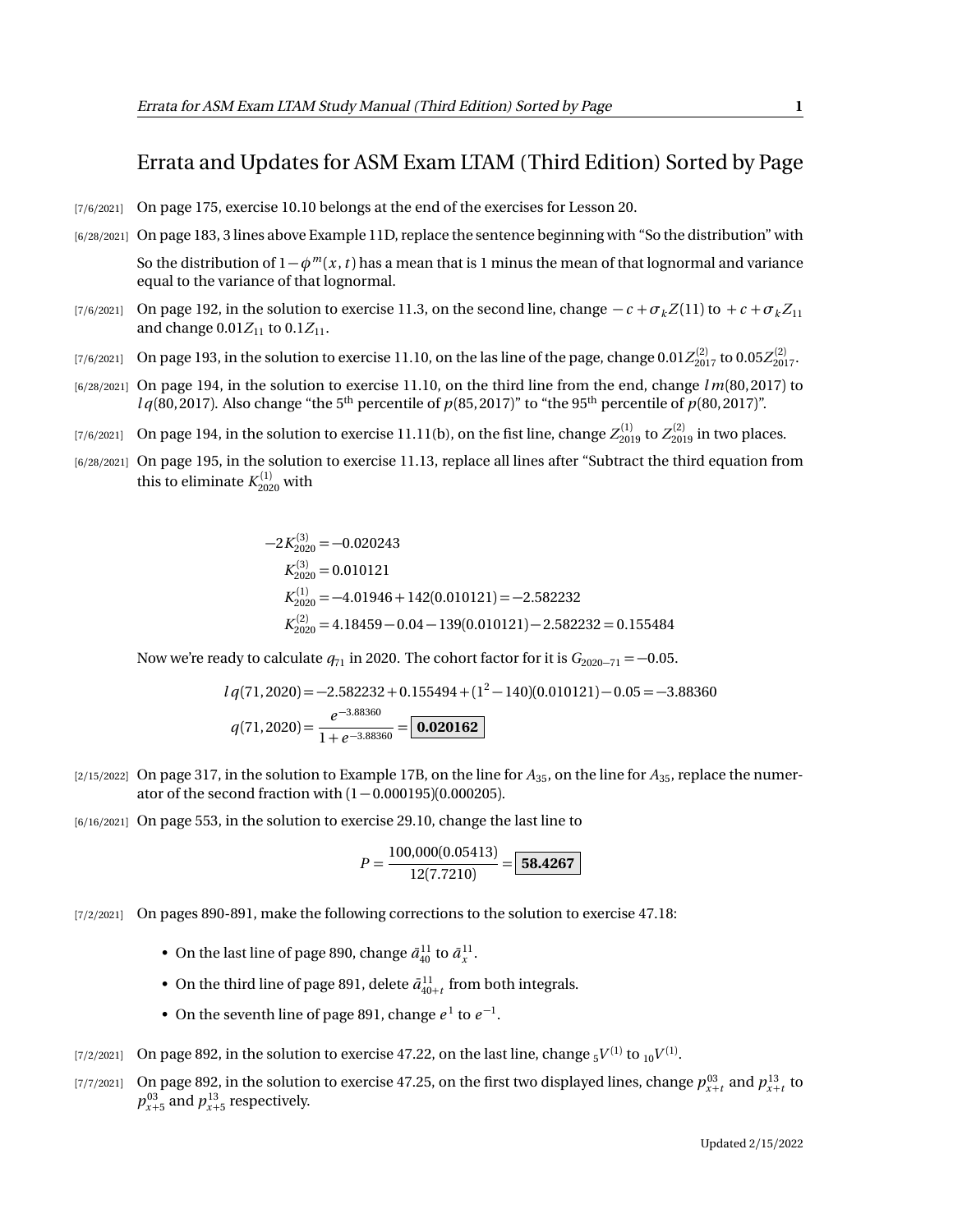## Errata and Updates for ASM Exam LTAM (Third Edition) Sorted by Page

- [7/6/2021] On page 175, exercise 10.10 belongs at the end of the exercises for Lesson 20.
- [6/28/2021] On page 183, 3 lines above Example 11D, replace the sentence beginning with "So the distribution" with So the distribution of  $1-\phi^m(x, t)$  has a mean that is 1 minus the mean of that lognormal and variance equal to the variance of that lognormal.
- [7/6/2021] On page 192, in the solution to exercise 11.3, on the second line, change  $-c + \sigma_k Z(11)$  to  $+c + \sigma_k Z_11$ and change  $0.01Z_{11}$  to  $0.1Z_{11}$ .
- $_{[7/6/2021]}$  On page 193, in the solution to exercise 11.10, on the las line of the page, change  $0.01Z_{2017}^{(2)}$  to  $0.05Z_{2017}^{(2)}$ .
- [6/28/2021] On page 194, in the solution to exercise 11.10, on the third line from the end, change *l m*(80, 2017) to  $l q(80, 2017)$ . Also change "the 5<sup>th</sup> percentile of  $p(85, 2017)$ " to "the 95<sup>th</sup> percentile of  $p(80, 2017)$ ".
- $(7/6/2021]$  On page 194, in the solution to exercise  $11.11(b)$ , on the fist line, change  $Z_{2019}^{(1)}$  to  $Z_{2019}^{(2)}$  in two places.
- [6/28/2021] On page 195, in the solution to exercise 11.13, replace all lines after "Subtract the third equation from this to eliminate  $K_{2020}^{(1)}$  with

$$
-2K_{2020}^{(3)} = -0.020243
$$
  
\n
$$
K_{2020}^{(3)} = 0.010121
$$
  
\n
$$
K_{2020}^{(1)} = -4.01946 + 142(0.010121) = -2.582232
$$
  
\n
$$
K_{2020}^{(2)} = 4.18459 - 0.04 - 139(0.010121) - 2.582232 = 0.155484
$$

Now we're ready to calculate  $q_{71}$  in 2020. The cohort factor for it is  $G_{2020-71} = -0.05$ .

$$
l q(71,2020) = -2.582232 + 0.155494 + (1^2 - 140)(0.010121) - 0.05 = -3.88360
$$
  

$$
q(71,2020) = \frac{e^{-3.88360}}{1 + e^{-3.88360}} = \boxed{\textbf{0.020162}}
$$

- [2/15/2022] On page 317, in the solution to Example 17B, on the line for  $A_{35}$ , on the line for  $A_{35}$ , replace the numerator of the second fraction with  $(1 - 0.000195)(0.000205)$ .
- [6/16/2021] On page 553, in the solution to exercise 29.10, change the last line to

$$
P = \frac{100,000(0.05413)}{12(7.7210)} = \boxed{58.4267}
$$

- [7/2/2021] On pages 890-891, make the following corrections to the solution to exercise 47.18:
	- On the last line of page 890, change  $\bar{a}_{40}^{11}$  to  $\bar{a}_x^{11}$ .
	- On the third line of page 891, delete  $\bar{a}^{11}_{40+t}$  from both integrals.
	- On the seventh line of page 891, change  $e^1$  to  $e^{-1}$ .
- $_{[7/2/2021]}$  On page 892, in the solution to exercise 47.22, on the last line, change  $_{5}V^{(1)}$  to  $_{10}V^{(1)}.$
- [7/7/2021] On page 892, in the solution to exercise 47.25, on the first two displayed lines, change  $p_{x+t}^{03}$  and  $p_{x+t}^{13}$  to  $p_{x+5}^{03}$  and  $p_{x+5}^{13}$  respectively.